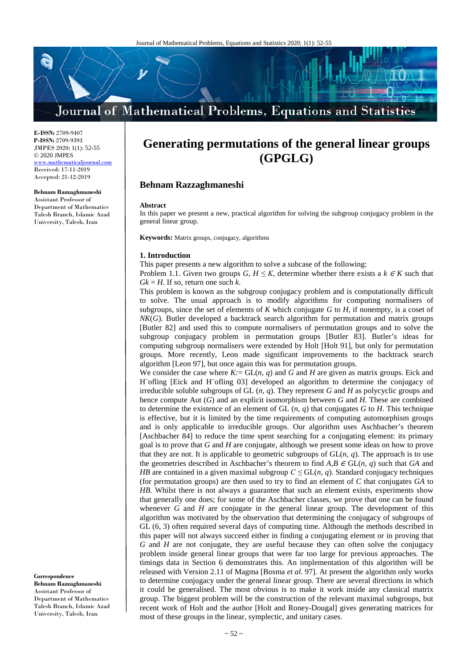# Journal of Mathematical Problems, Equations and Statistics

**E-ISSN:** 2709-9407 **P-ISSN:** 2709-9393 JMPES 2020; 1(1): 52-55 © 2020 JMPES www.mathematicaljournal.com Received: 17-11-2019 Accepted: 21-12-2019

**Behnam Razzaghmaneshi** Assistant Professor of Department of Mathematics Talesh Branch, Islamic Azad University, Talesh, Iran

## **Generating permutations of the general linear groups (GPGLG)**

### **Behnam Razzaghmaneshi**

#### **Abstract**

In this paper we present a new, practical algorithm for solving the subgroup conjugacy problem in the general linear group.

**Keywords:** Matrix groups, conjugacy, algorithms

#### **1. Introduction**

This paper presents a new algorithm to solve a subcase of the following:

Problem 1.1. Given two groups *G, H*  $\leq$  *K*, determine whether there exists a *k*  $\in$  *K* such that  $Gk = H$ . If so, return one such *k*.

This problem is known as the subgroup conjugacy problem and is computationally difficult to solve. The usual approach is to modify algorithms for computing normalisers of subgroups, since the set of elements of *K* which conjugate *G* to *H*, if nonempty, is a coset of *NK*(*G*). Butler developed a backtrack search algorithm for permutation and matrix groups [Butler 82] and used this to compute normalisers of permutation groups and to solve the subgroup conjugacy problem in permutation groups [Butler 83]. Butler's ideas for computing subgroup normalisers were extended by Holt [Holt 91], but only for permutation groups. More recently, Leon made significant improvements to the backtrack search algorithm [Leon 97], but once again this was for permutation groups.

We consider the case where  $K = GL(n, q)$  and  $G$  and  $H$  are given as matrix groups. Eick and H¨ofling [Eick and H¨ofling 03] developed an algorithm to determine the conjugacy of irreducible soluble subgroups of GL (*n, q*). They represent *G* and *H* as polycyclic groups and hence compute Aut (*G*) and an explicit isomorphism between *G* and *H*. These are combined to determine the existence of an element of GL  $(n, q)$  that conjugates *G* to *H*. This technique is effective, but it is limited by the time requirements of computing automorphism groups and is only applicable to irreducible groups. Our algorithm uses Aschbacher's theorem [Aschbacher 84] to reduce the time spent searching for a conjugating element: its primary goal is to prove that *G* and *H* are conjugate, although we present some ideas on how to prove that they are not. It is applicable to geometric subgroups of GL(*n, q*). The approach is to use the geometries described in Aschbacher's theorem to find  $A, B \in GL(n, q)$  such that  $GA$  and *HB* are contained in a given maximal subgroup  $C \leq GL(n, q)$ . Standard conjugacy techniques (for permutation groups) are then used to try to find an element of *C* that conjugates *GA* to *HB*. Whilst there is not always a guarantee that such an element exists, experiments show that generally one does; for some of the Aschbacher classes, we prove that one can be found whenever  $G$  and  $H$  are conjugate in the general linear group. The development of this algorithm was motivated by the observation that determining the conjugacy of subgroups of GL (6*,* 3) often required several days of computing time. Although the methods described in this paper will not always succeed either in finding a conjugating element or in proving that *G* and *H* are not conjugate, they are useful because they can often solve the conjugacy problem inside general linear groups that were far too large for previous approaches. The timings data in Section 6 demonstrates this. An implementation of this algorithm will be released with Version 2.11 of Magma [Bosma *et al*. 97]. At present the algorithm only works to determine conjugacy under the general linear group. There are several directions in which it could be generalised. The most obvious is to make it work inside any classical matrix group. The biggest problem will be the construction of the relevant maximal subgroups, but recent work of Holt and the author [Holt and Roney-Dougal] gives generating matrices for most of these groups in the linear, symplectic, and unitary cases.

**Correspondence**

**Behnam Razzaghmaneshi** Assistant Professor of Department of Mathematics Talesh Branch, Islamic Azad University, Talesh, Iran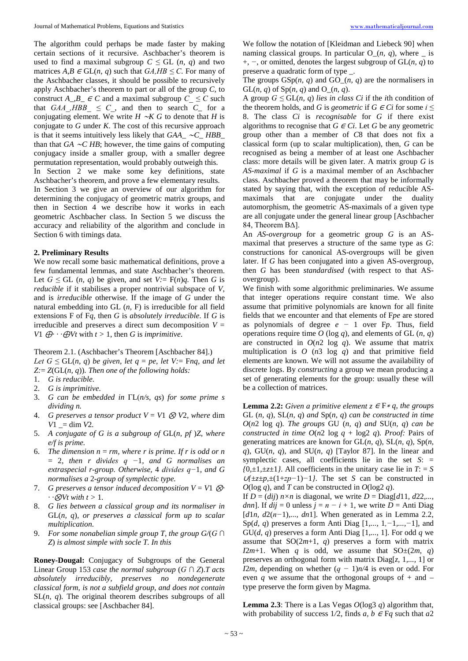The algorithm could perhaps be made faster by making certain sections of it recursive. Aschbacher's theorem is used to find a maximal subgroup  $C \leq GL(n, q)$  and two matrices  $A, B \in GL(n, q)$  such that  $GA, HB \leq C$ . For many of the Aschbacher classes, it should be possible to recursively apply Aschbacher's theorem to part or all of the group *C*, to construct *A\_,B\_*  $\in$  *<i>C* and a maximal subgroup  $C \leq C$  such that *GAA*,  $HBB \leq C$ , and then to search  $C_{\text{max}}$  for a conjugating element. We write *H* ∼*K G* to denote that *H* is conjugate to *G* under *K*. The cost of this recursive approach is that it seems intuitively less likely that *GAA\_* ∼*C\_ HBB\_*  than that *GA* ∼*C HB*; however, the time gains of computing conjugacy inside a smaller group, with a smaller degree permutation representation, would probably outweigh this.

In Section 2 we make some key definitions, state Aschbacher's theorem, and prove a few elementary results.

In Section 3 we give an overview of our algorithm for determining the conjugacy of geometric matrix groups, and then in Section 4 we describe how it works in each geometric Aschbacher class. In Section 5 we discuss the accuracy and reliability of the algorithm and conclude in Section 6 with timings data.

#### **2. Preliminary Results**

We now recall some basic mathematical definitions, prove a few fundamental lemmas, and state Aschbacher's theorem. Let  $G \leq GL(n, q)$  be given, and set  $V := F(n)q$ . Then *G* is *reducible* if it stabilises a proper nontrivial subspace of *V*, and is *irreducible* otherwise. If the image of *G* under the natural embedding into GL (*n,* F) is irreducible for all field extensions F of F*q*, then *G* is *absolutely irreducible*. If *G* is irreducible and preserves a direct sum decomposition  $V =$ *V*1  $\bigoplus$  · ·  $\bigoplus$  *Vt* with  $t > 1$ , then *G* is *imprimitive*.

Theorem 2.1. (Aschbacher's Theorem [Aschbacher 84].) *Let*  $G \leq GL(n, q)$  *be given, let*  $q = pe$ *, let*  $V := Frq$ *, and let Z:*= *Z*(GL(*n, q*))*. Then one of the following holds:*

- 1. *G is reducible.*
- 2. *G is imprimitive.*
- 3. *G can be embedded in* ΓL(*n/s, qs*) *for some prime s dividing n.*
- 4. *G preserves a tensor product*  $V = V1 \otimes V2$ *, where dim V*1 *\_*= dim *V*2*.*
- 5. *A conjugate of G is a subgroup of* GL(*n, pf* )*Z, where e/f is prime.*
- 6. *The dimension*  $n = rm$ , where r is prime. If r is odd or n = 2*, then r divides q −*1*, and G normalises an extraspecial r-group. Otherwise,* 4 *divides q−*1*, and G normalises a* 2*-group of symplectic type.*
- 7. *G preserves a tensor induced decomposition*  $V = VI$   $\otimes$ *·*  $\cdot \cdot \otimes Vt$  *with*  $t > 1$ *.*
- 8. *G lies between a classical group and its normaliser in* GL(*n, q*)*, or preserves a classical form up to scalar multiplication.*
- 9. *For some nonabelian simple group T, the group G/*(*G ∩ Z*) *is almost simple with socle T. In this*

**Roney-Dougal:** Conjugacy of Subgroups of the General Linear Group 153 *case the normal subgroup* (*G ∩ Z*).*T acts absolutely irreducibly, preserves no nondegenerate classical form, is not a subfield group, and does not contain* SL(*n, q*)*.* The original theorem describes subgroups of all classical groups: see [Aschbacher 84].

We follow the notation of [Kleidman and Liebeck 90] when naming classical groups. In particular  $O_-(n, q)$ , where  $\overline{\phantom{a}}$  is +, *−*, or omitted, denotes the largest subgroup of GL(*n, q*) to preserve a quadratic form of type *\_*.

The groups GSp(*n, q*) and GO*\_*(*n, q*) are the normalisers in GL(*n, q*) of Sp(*n, q*) and O*\_*(*n, q*).

A group  $G \leq GL(n, q)$  *lies in class Ci* if the *i*th condition of the theorem holds, and *G* is *geometric* if  $G \in \mathbb{C}$  for some  $i \leq$ 8. The class *Ci* is *recognisable* for *G* if there exist algorithms to recognise that  $G \in \mathbb{C}$ *i*. Let *G* be any geometric group other than a member of *C*8 that does not fix a classical form (up to scalar multiplication), then, *G* can be recognised as being a member of at least one Aschbacher class: more details will be given later. A matrix group *G* is *AS-maximal* if *G* is a maximal member of an Aschbacher class. Aschbacher proved a theorem that may be informally stated by saying that, with the exception of reducible ASmaximals that are conjugate under the duality automorphism, the geometric AS-maximals of a given type are all conjugate under the general linear group [Aschbacher 84, Theorem BΔ].

An *AS-overgroup* for a geometric group *G* is an ASmaximal that preserves a structure of the same type as *G*: constructions for canonical AS-overgroups will be given later. If *G* has been conjugated into a given AS-overgroup, then *G* has been *standardised* (with respect to that ASovergroup).

We finish with some algorithmic preliminaries. We assume that integer operations require constant time. We also assume that primitive polynomials are known for all finite fields that we encounter and that elements of F*pe* are stored as polynomials of degree *e −* 1 over F*p*. Thus, field operations require time  $O$  (log  $q$ ), and elements of GL  $(n, q)$ are constructed in  $O(n2 \log q)$ . We assume that matrix multiplication is *O* (*n*3 log *q*) and that primitive field elements are known. We will not assume the availability of discrete logs. By *constructing* a group we mean producing a set of generating elements for the group: usually these will be a collection of matrices.

**Lemma 2.2:** *Given a primitive element*  $z \in F * q$ *, the groups* GL  $(n, q)$ *,* SL $(n, q)$  *and* Sp $(n, q)$  *can be constructed in time*  $O(n2 \log q)$ *. The groups GU (n, q) and SU(n, q) can be constructed in time*  $O(n2 \log q + \log 2 q)$ *. Proof: Pairs of* generating matrices are known for GL(*n, q*), SL(*n, q*), Sp(*n, q*), GU(*n, q*), and SU(*n, q*) [Taylor 87]. In the linear and symplectic cases, all coefficients lie in the set  $S$ :  $=$  $f(0, \pm 1, \pm \sqrt{2} \pm 1)$ . All coefficients in the unitary case lie in  $T = S$ <sup>∪</sup>*{±z±p,±*(1+*zp−*1)*−*1*}*. The set *S* can be constructed in  $O(\log q)$ , and *T* can be constructed in  $O(\log 2 q)$ .

If  $D = (dij)$   $n \times n$  is diagonal, we write  $D = Diag[d11, d22,...,$ *dnn*]. If  $dij = 0$  unless  $j = n - i + 1$ , we write  $D =$  Anti Diag [*d*1*n, d*2(*n−*1)*,..., dn*1]. When generated as in Lemma 2.2, Sp(*d, q*) preserves a form Anti Diag [1*,...,* 1*,−*1*,...,−*1], and GU(*d, q*) preserves a form Anti Diag [1*,...,* 1]. For odd *q* we assume that  $SO(2m+1, q)$  preserves a form with matrix *I*2*m*+1. When *q* is odd, we assume that SO $\pm$ (2*m, q*) preserves an orthogonal form with matrix Diag[*z,* 1*,...,* 1] or *I*2*m*, depending on whether (*q* − 1)*n*/4 is even or odd. For even *q* we assume that the orthogonal groups of + and *–* type preserve the form given by Magma.

**Lemma 2.3**: There is a Las Vegas  $O(\log 3 q)$  algorithm that, with probability of success  $1/2$ , finds *a*,  $b \in Fq$  such that *a*2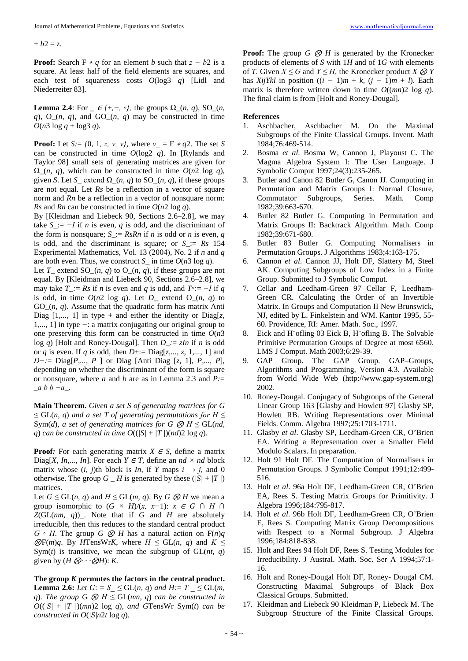$+ b2 = z$ .

**Proof:** Search F  $* q$  for an element *b* such that  $z - b2$  is a square. At least half of the field elements are squares, and each test of squareness costs *O*(log3 *q*) [Lidl and Niederreiter 83].

**Lemma 2.4**: For  $\in$  *{*+*,-,* ◦*}*, the groups  $\Omega$ <sub>*\_(n, q)*, SO<sub>*\_(n,*</sub></sub> *q*), O  $(n, q)$ , and GO  $(n, q)$  may be constructed in time  $O(n^3 \log q + \log^3 q)$ .

**Proof:** Let *S:*=  $\{0, 1, z, v, v\}$ , where  $v = F * q2$ . The set *S* can be constructed in time *O*(log2 *q*). In [Rylands and Taylor 98] small sets of generating matrices are given for  $\Omega(n, q)$ , which can be constructed in time  $O(n2 \log q)$ , given *S*. Let *S*<sub> $\_$ </sub> extend  $\Omega$ <sub> $\_$ </sub>(*n, q*) to SO<sub> $\_$ </sub>(*n, q*), if these groups are not equal. Let *Rs* be a reflection in a vector of square norm and *Rn* be a reflection in a vector of nonsquare norm: *Rs* and *Rn* can be constructed in time *O*(*n*2 log *q*).

By [Kleidman and Liebeck 90, Sections 2.6–2.8], we may take *S\_*:= *−I* if *n* is even, *q* is odd, and the discriminant of the form is nonsquare;  $S = \mathbb{R} \times \mathbb{R} \times \mathbb{R} \times \mathbb{R} \times \mathbb{R} \times \mathbb{R} \times \mathbb{R} \times \mathbb{R} \times \mathbb{R} \times \mathbb{R} \times \mathbb{R} \times \mathbb{R} \times \mathbb{R} \times \mathbb{R} \times \mathbb{R} \times \mathbb{R} \times \mathbb{R} \times \mathbb{R} \times \mathbb{R} \times \mathbb{R} \times \mathbb{R} \times \mathbb{R} \times \mathbb{R} \times \mathbb{R} \times \mathbb$ is odd, and the discriminant is square; or *S\_*:= *Rs* 154 Experimental Mathematics, Vol. 13 (2004), No. 2 if *n* and *q*  are both even. Thus, we construct  $S_{-}$  in time  $O(n^3 \log q)$ .

Let *T*<sub> $-$ </sub> extend SO<sub> $-$ </sub>(*n, q*) to O<sub> $-$ </sub>(*n, q*), if these groups are not equal. By [Kleidman and Liebeck 90, Sections 2.6–2.8], we may take *T* := *Rs* if *n* is even and *q* is odd, and  $T \circ := -I$  if *q* is odd, in time  $O(n2 \log q)$ . Let *D* extend O  $(n, q)$  to GO*\_*(*n, q*). Assume that the quadratic form has matrix Anti Diag  $[1,..., 1]$  in type + and either the identity or Diag $[z, z]$ 1*,...,* 1] in type *−*: a matrix conjugating our original group to one preserving this form can be constructed in time *O*(*n*3 log *q*) [Holt and Roney-Dougal]. Then *D\_:*= *zIn* if *n* is odd or *q* is even. If *q* is odd, then *D*+:= Diag[*z,..., z,* 1*,...,* 1] and *D−:*= Diag[*P,..., P* ] or Diag [Anti Diag [*z,* 1]*, P,..., P*], depending on whether the discriminant of the form is square or nonsquare, where *a* and *b* are as in Lemma 2.3 and *P:*= \_*a b b −a*\_*.*

**Main Theorem.** *Given a set S of generating matrices for G*   $\leq$  GL(*n, q*) *and a set T of generating permutations for H*  $\leq$ Sym(*d*)*, a set of generating matrices for G*  $\otimes$  *H*  $\leq$  *GL(<i>nd, q*) *can be constructed in time*  $O((|S| + |T|)(nd)2 \log q)$ *.* 

**Proof**: For each generating matrix  $X \in S$ , define a matrix Diag[*X, In,..., In*]. For each  $Y \in T$ , define an  $nd \times nd$  block matrix whose  $(i, j)$ th block is *In*, if *Y* maps  $i \rightarrow j$ , and 0 otherwise. The group  $G$   $H$  is generated by these ( $|S| + |T|$ ) matrices.

Let *G* ≤ *G*L(*n, q*) and *H* ≤ *G*L(*m, q*). By *G* ⊗ *H* we mean a group isomorphic to  $(G \times H)/(x, x-1)$ :  $x \in G \cap H \cap$ *Z*(GL(*nm, q*))*\_*. Note that if *G* and *H* are absolutely irreducible, then this reduces to the standard central product *G ◦ H*. The group *G* ⊗ *H* has a natural action on F(*n*)*q*   $\mathcal{D}F(m)q$ . By *H*TensWr*K*, where *H* ≤ GL(*n*, *q*) and *K* ≤ Sym(*t*) is transitive, we mean the subgroup of  $GL(nt, q)$ given by  $(H \otimes \cdots \otimes H)$ : *K*.

**The group** *K* **permutes the factors in the central product. Lemma 2.6:** *Let*  $G: S \leq GL(n, q)$  *and*  $H: = T \leq GL(m, q)$ *q*)*. The group*  $G \otimes H \leq GL(mn, q)$  *can be constructed in*  $O((|S| + |T|)(mn)2 \log q)$ *, and GTensWr Sym(t) can be constructed in O*(*|S|n*2*t* log *q*)*.*

**Proof:** The group  $G \otimes H$  is generated by the Kronecker products of elements of *S* with 1*H* and of 1*G* with elements of *T*. Given  $X \le G$  and  $Y \le H$ , the Kronecker product  $X \otimes Y$ has *XijYkl* in position  $((i - 1)m + k, (j - 1)m + l)$ . Each matrix is therefore written down in time  $O((mn)2 \log q)$ . The final claim is from [Holt and Roney-Dougal].

#### **References**

- 1. Aschbacher, Aschbacher M. On the Maximal Subgroups of the Finite Classical Groups. Invent. Math 1984;76:469-514.
- 2. Bosma *et al*. Bosma W, Cannon J, Playoust C. The Magma Algebra System I: The User Language. J Symbolic Comput 1997;24(3):235-265.
- 3. Butler and Canon 82 Butler G, Canon JJ. Computing in Permutation and Matrix Groups I: Normal Closure, Commutator Subgroups, Series. Math. Comp 1982;39:663-670.
- 4. Butler 82 Butler G. Computing in Permutation and Matrix Groups II: Backtrack Algorithm. Math. Comp 1982;39:671-680.
- 5. Butler 83 Butler G. Computing Normalisers in Permutation Groups. J Algorithms 1983;4:163-175.
- 6. Cannon *et al*. Cannon JJ, Holt DF, Slattery M, Steel AK. Computing Subgroups of Low Index in a Finite Group. Submitted to J Symbolic Comput.
- 7. Cellar and Leedham-Green 97 Cellar F, Leedham-Green CR. Calculating the Order of an Invertible Matrix. In Groups and Computation II New Brunswick, NJ, edited by L. Finkelstein and WM. Kantor 1995, 55- 60. Providence, RI: Amer. Math. Soc., 1997.
- 8. Eick and H¨ofling 03 Eick B, H¨ofling B. The Solvable Primitive Permutation Groups of Degree at most 6560. LMS J Comput. Math 2003;6:29-39.
- GAP Group. The GAP Group. GAP–Groups, Algorithms and Programming, Version 4.3. Available from World Wide Web (http://www.gap-system.org) 2002.
- 10. Roney-Dougal. Conjugacy of Subgroups of the General Linear Group 163 [Glasby and Howlett 97] Glasby SP, Howlett RB. Writing Representations over Minimal Fields. Comm. Algebra 1997;25:1703-1711.
- 11. Glasby *et al*. Glasby SP, Leedham-Green CR, O'Brien EA. Writing a Representation over a Smaller Field Modulo Scalars. In preparation.
- 12. Holt 91 Holt DF. The Computation of Normalisers in Permutation Groups. J Symbolic Comput 1991;12:499- 516.
- 13. Holt *et al*. 96a Holt DF, Leedham-Green CR, O'Brien EA, Rees S. Testing Matrix Groups for Primitivity. J Algebra 1996;184:795-817.
- 14. Holt *et al*. 96b Holt DF, Leedham-Green CR, O'Brien E, Rees S. Computing Matrix Group Decompositions with Respect to a Normal Subgroup. J Algebra 1996;184:818-838.
- 15. Holt and Rees 94 Holt DF, Rees S. Testing Modules for Irreducibility. J Austral. Math. Soc. Ser A 1994;57:1- 16.
- 16. Holt and Roney-Dougal Holt DF, Roney- Dougal CM. Constructing Maximal Subgroups of Black Box Classical Groups. Submitted.
- 17. Kleidman and Liebeck 90 Kleidman P, Liebeck M. The Subgroup Structure of the Finite Classical Groups.